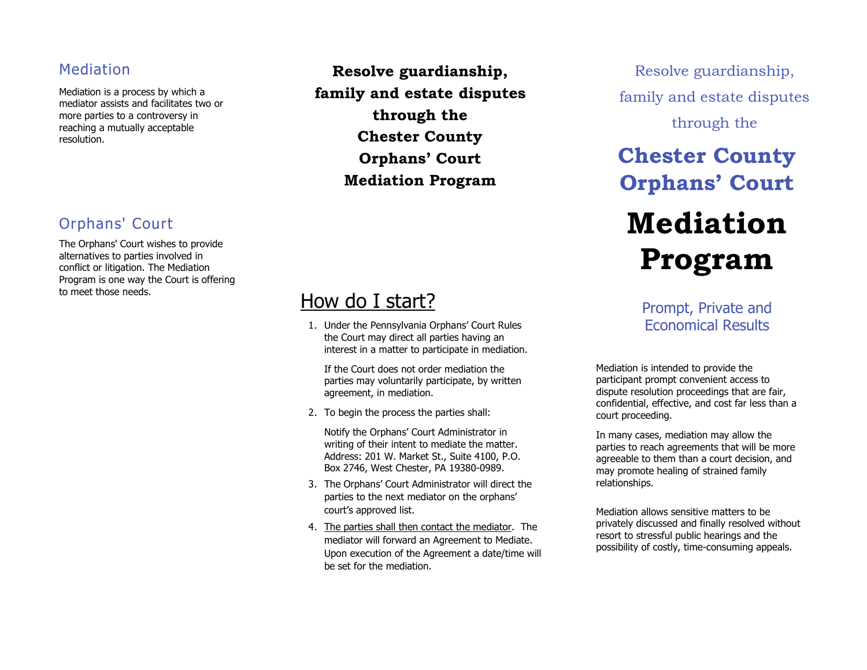#### Mediation

Mediation is a process by which a mediator assists and facilitates two or more parties to a controversy in reaching a mutually acceptable resolution.

#### Orphans' Court

The Orphans' Court wishes to provide alternatives to parties involved in conflict or litigation. The Mediation Program is one way the Court is offering to meet those needs.

**Resolve guardianship, family and estate disputes through the Chester County Orphans' Court Mediation Program**

### How do I start?

1. Under the Pennsylvania Orphans' Court Rules the Court may direct all parties having an interest in a matter to participate in mediation.

If the Court does not order mediation the parties may voluntarily participate, by written agreement, in mediation.

2. To begin the process the parties shall:

Notify the Orphans' Court Administrator in writing of their intent to mediate the matter. Address: 201 W. Market St., Suite 4100, P.O. Box 2746, West Chester, PA 19380-0989.

- 3. The Orphans' Court Administrator will direct the parties to the next mediator on the orphans' court's approved list.
- 4. The parties shall then contact the mediator. The mediator will forward an Agreement to Mediate. Upon execution of the Agreement a date/time will be set for the mediation.

Resolve guardianship, family and estate disputes through the

## **Chester County Orphans' Court**

# **Mediation Program**

Prompt, Private and Economical Results

Mediation is intended to provide the participant prompt convenient access to dispute resolution proceedings that are fair, confidential, effective, and cost far less than a court proceeding.

In many cases, mediation may allow the parties to reach agreements that will be more agreeable to them than a court decision, and may promote healing of strained family relationships.

Mediation allows sensitive matters to be privately discussed and finally resolved without resort to stressful public hearings and the possibility of costly, time-consuming appeals.